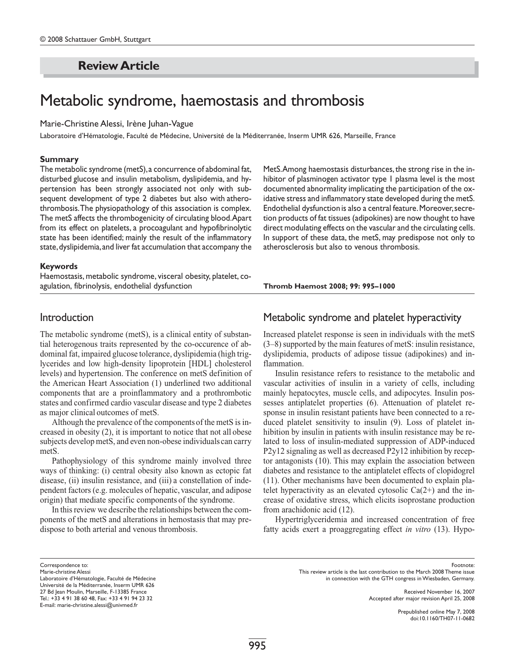## **Review Article**

# Metabolic syndrome, haemostasis and thrombosis

#### Marie-Christine Alessi, Irène Juhan-Vague

Laboratoire d'Hématologie, Faculté de Médecine, Université de la Méditerranée, Inserm UMR 626, Marseille, France

#### **Summary**

The metabolic syndrome (metS), a concurrence of abdominal fat, disturbed glucose and insulin metabolism, dyslipidemia, and hypertension has been strongly associated not only with subsequent development of type 2 diabetes but also with atherothrombosis. The physiopathology of this association is complex. The metS affects the thrombogenicity of circulating blood. Apart from its effect on platelets, a procoagulant and hypofibrinolytic state has been identified; mainly the result of the inflammatory state, dyslipidemia, and liver fat accumulation that accompany the

#### **Keywords**

Haemostasis, metabolic syndrome, visceral obesity, platelet, coagulation, fibrinolysis, endothelial dysfunction

MetS. Among haemostasis disturbances, the strong rise in the inhibitor of plasminogen activator type I plasma level is the most documented abnormality implicating the participation of the oxidative stress and inflammatory state developed during the metS. Endothelial dysfunction is also a central feature. Moreover, secretion products of fat tissues (adipokines) are now thought to have direct modulating effects on the vascular and the circulating cells. In support of these data, the metS, may predispose not only to atherosclerosis but also to venous thrombosis.

**Thromb Haemost 2008; 99: 995–1000** 

#### Introduction

The metabolic syndrome (metS), is a clinical entity of substantial heterogenous traits represented by the co-occurence of abdominal fat, impaired glucose tolerance, dyslipidemia (high triglycerides and low high-density lipoprotein [HDL] cholesterol levels) and hypertension. The conference on metS definition of the American Heart Association (1) underlined two additional components that are a proinflammatory and a prothrombotic states and confirmed cardio vascular disease and type 2 diabetes as major clinical outcomes of metS.

Although the prevalence of the components of the metS is increased in obesity (2), it is important to notice that not all obese subjects develop metS, and even non-obese individualscan carry metS.

Pathophysiology of this syndrome mainly involved three ways of thinking: (i) central obesity also known as ectopic fat disease, (ii) insulin resistance, and (iii) a constellation of independent factors (e.g. molecules of hepatic, vascular, and adipose origin) that mediate specific components of the syndrome.

In this review we describe the relationships between the components of the metS and alterations in hemostasis that may predispose to both arterial and venous thrombosis.

## Metabolic syndrome and platelet hyperactivity

Increased platelet response is seen in individuals with the metS (3–8) supported by the main features of metS: insulin resistance, dyslipidemia, products of adipose tissue (adipokines) and inflammation.

Insulin resistance refers to resistance to the metabolic and vascular activities of insulin in a variety of cells, including mainly hepatocytes, muscle cells, and adipocytes. Insulin possesses antiplatelet properties (6). Attenuation of platelet response in insulin resistant patients have been connected to a reduced platelet sensitivity to insulin (9). Loss of platelet inhibition by insulin in patients with insulin resistance may be related to loss of insulin-mediated suppression of ADP-induced P2y12 signaling as well as decreased P2y12 inhibition by receptor antagonists (10). This may explain the association between diabetes and resistance to the antiplatelet effects of clopidogrel (11). Other mechanisms have been documented to explain platelet hyperactivity as an elevated cytosolic  $Ca(2+)$  and the increase of oxidative stress, which elicits isoprostane production from arachidonic acid (12).

Hypertriglyceridemia and increased concentration of free fatty acids exert a proaggregating effect *in vitro* (13). Hypo-

Correspondence to: Marie-christine Alessi Laboratoire d'Hématologie, Faculté de Médecine Université de la Méditerranée, Inserm UMR 626 27 Bd Jean Moulin, Marseille, F-13385 France Tel.: +33 4 91 38 60 48, Fax: +33 4 91 94 23 32 E-mail: marie-christine.alessi@univmed.fr

Footnote: This review article is the last contribution to the March 2008 Theme issue in connection with the GTH congress in Wiesbaden, Germany.

> Received November 16, 2007 Accepted after major revision April 25, 2008

> > Prepublished online May 7, 2008 doi:10.1160/TH07-11-0682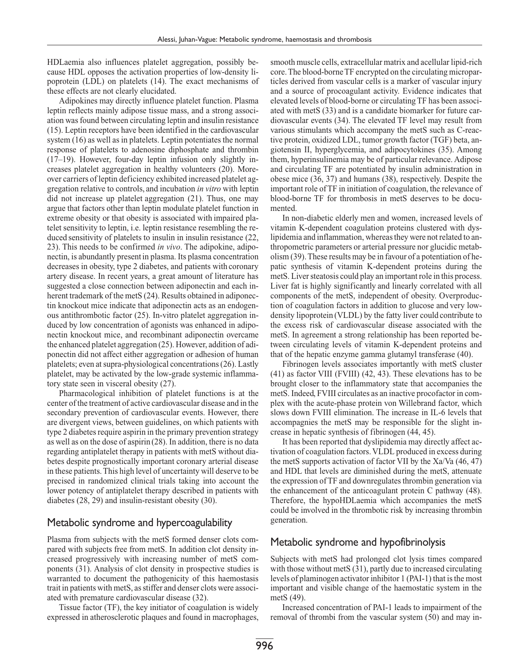HDLaemia also influences platelet aggregation, possibly because HDL opposes the activation properties of low-density lipoprotein (LDL) on platelets (14). The exact mechanisms of these effects are not clearly elucidated.

Adipokines may directly influence platelet function. Plasma leptin reflects mainly adipose tissue mass, and a strong association was found between circulating leptin and insulin resistance (15). Leptin receptors have been identified in the cardiovascular system (16) as well as in platelets. Leptin potentiates the normal response of platelets to adenosine diphosphate and thrombin (17–19). However, four-day leptin infusion only slightly increases platelet aggregation in healthy volunteers (20). Moreover carriers of leptin deficiency exhibited increased platelet aggregation relative to controls, and incubation *in vitro* with leptin did not increase up platelet aggregation (21). Thus, one may argue that factors other than leptin modulate platelet function in extreme obesity or that obesity is associated with impaired platelet sensitivity to leptin, i.e. leptin resistance resembling the reduced sensitivity of platelets to insulin in insulin resistance (22, 23). This needs to be confirmed *in vivo*. The adipokine, adiponectin, is abundantly present in plasma. Its plasma concentration decreases in obesity, type 2 diabetes, and patients with coronary artery disease. In recent years, a great amount of literature has suggested a close connection between adiponectin and each inherent trademark of the metS (24). Results obtained in adiponectin knockout mice indicate that adiponectin acts as an endogenous antithrombotic factor (25). In-vitro platelet aggregation induced by low concentration of agonists was enhanced in adiponectin knockout mice, and recombinant adiponectin overcame the enhanced platelet aggregation (25). However, addition of adiponectin did not affect either aggregation or adhesion of human platelets; even at supra-physiological concentrations (26). Lastly platelet, may be activated by the low-grade systemic inflammatory state seen in visceral obesity (27).

Pharmacological inhibition of platelet functions is at the center of the treatment of active cardiovascular disease and in the secondary prevention of cardiovascular events. However, there are divergent views, between guidelines, on which patients with type 2 diabetes require aspirin in the primary prevention strategy as well as on the dose of aspirin (28). In addition, there is no data regarding antiplatelet therapy in patients with metS without diabetes despite prognostically important coronary arterial disease in these patients. This high level of uncertainty will deserve to be precised in randomized clinical trials taking into account the lower potency of antiplatelet therapy described in patients with diabetes (28, 29) and insulin-resistant obesity (30).

## Metabolic syndrome and hypercoagulability

Plasma from subjects with the metS formed denser clots compared with subjects free from metS. In addition clot density increased progressively with increasing number of metS components (31). Analysis of clot density in prospective studies is warranted to document the pathogenicity of this haemostasis trait in patients with metS, as stiffer and denser clots were associated with premature cardiovascular disease (32).

Tissue factor (TF), the key initiator of coagulation is widely expressed in atherosclerotic plaques and found in macrophages, smooth muscle cells, extracellular matrix and acellular lipid-rich core. The blood-borne TF encrypted on the circulating microparticles derived from vascular cells is a marker of vascular injury and a source of procoagulant activity. Evidence indicates that elevated levels of blood-borne or circulating TF has been associated with metS (33) and is a candidate biomarker for future cardiovascular events (34). The elevated TF level may result from various stimulants which accompany the metS such as C-reactive protein, oxidized LDL, tumor growth factor (TGF) beta, angiotensin II, hyperglycemia, and adipocytokines (35). Among them, hyperinsulinemia may be of particular relevance. Adipose and circulating TF are potentiated by insulin administration in obese mice (36, 37) and humans (38), respectively. Despite the important role of TF in initiation of coagulation, the relevance of blood-borne TF for thrombosis in metS deserves to be documented.

In non-diabetic elderly men and women, increased levels of vitamin K-dependent coagulation proteins clustered with dyslipidemia and inflammation, whereas they were not related to anthropometric parameters or arterial pressure nor glucidic metabolism (39). These results may be in favour of a potentiation of hepatic synthesis of vitamin K-dependent proteins during the metS. Liver steatosis could play an important role in this process. Liver fat is highly significantly and linearly correlated with all components of the metS, independent of obesity. Overproduction of coagulation factors in addition to glucose and very lowdensity lipoprotein (VLDL) by the fatty liver could contribute to the excess risk of cardiovascular disease associated with the metS. In agreement a strong relationship has been reported between circulating levels of vitamin K-dependent proteins and that of the hepatic enzyme gamma glutamyl transferase (40).

Fibrinogen levels associates importantly with metS cluster (41) as factor VIII (FVIII) (42, 43). These elevations has to be brought closer to the inflammatory state that accompanies the metS. Indeed, FVIII circulates as an inactive procofactor in complex with the acute-phase protein von Willebrand factor, which slows down FVIII elimination. The increase in IL-6 levels that accompagnies the metS may be responsible for the slight increase in hepatic synthesis of fibrinogen (44, 45).

It has been reported that dyslipidemia may directly affect activation of coagulation factors. VLDL produced in excess during the metS supports activation of factor VII by the Xa/Va (46, 47) and HDL that levels are diminished during the metS, attenuate the expression of TF and downregulates thrombin generation via the enhancement of the anticoagulant protein C pathway (48). Therefore, the hypoHDLaemia which accompanies the metS could be involved in the thrombotic risk by increasing thrombin generation.

### Metabolic syndrome and hypofibrinolysis

Subjects with metS had prolonged clot lysis times compared with those without metS (31), partly due to increased circulating levels of plaminogen activator inhibitor 1 (PAI-1) that is the most important and visible change of the haemostatic system in the metS (49).

Increased concentration of PAI-1 leads to impairment of the removal of thrombi from the vascular system (50) and may in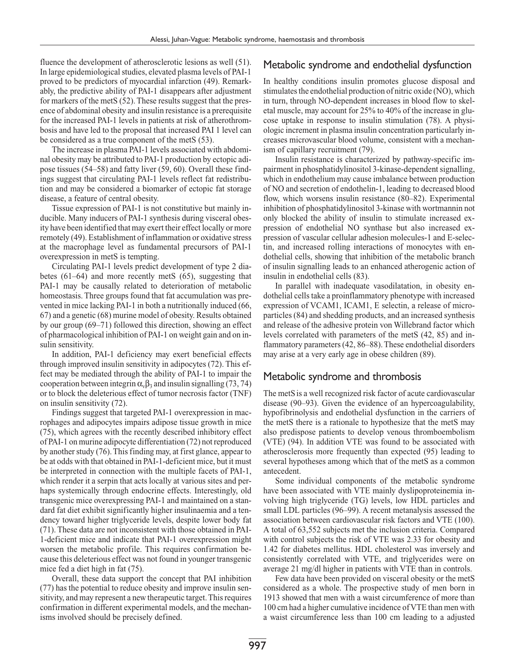fluence the development of atherosclerotic lesions as well (51). In large epidemiological studies, elevated plasma levels of PAI-1 proved to be predictors of myocardial infarction (49). Remarkably, the predictive ability of PAI-1 disappears after adjustment for markers of the metS (52). These results suggest that the presence of abdominal obesity and insulin resistance is a prerequisite for the increased PAI-1 levels in patients at risk of atherothrombosis and have led to the proposal that increased PAI 1 level can be considered as a true component of the metS (53).

The increase in plasma PAI-1 levels associated with abdominal obesity may be attributed to PAI-1 production by ectopic adipose tissues (54–58) and fatty liver (59, 60). Overall these findings suggest that circulating PAI-1 levels reflect fat redistribution and may be considered a biomarker of ectopic fat storage disease, a feature of central obesity.

Tissue expression of PAI-1 is not constitutive but mainly inducible. Many inducers of PAI-1 synthesis during visceral obesity have been identified that may exert their effect locally or more remotely (49). Establishment of inflammation or oxidative stress at the macrophage level as fundamental precursors of PAI-1 overexpression in metS is tempting.

Circulating PAI-1 levels predict development of type 2 diabetes (61–64) and more recently metS (65), suggesting that PAI-1 may be causally related to deterioration of metabolic homeostasis. Three groups found that fat accumulation was prevented in mice lacking PAI-1 in both a nutritionally induced (66, 67) and a genetic (68) murine model of obesity. Results obtained by our group (69–71) followed this direction, showing an effect of pharmacological inhibition of PAI-1 on weight gain and on insulin sensitivity.

In addition, PAI-1 deficiency may exert beneficial effects through improved insulin sensitivity in adipocytes (72). This effect may be mediated through the ability of PAI-1 to impair the cooperation between integrin  $\alpha_{\nu}\beta_3$  and insulin signalling (73, 74) or to block the deleterious effect of tumor necrosis factor (TNF) on insulin sensitivity (72).

Findings suggest that targeted PAI-1 overexpression in macrophages and adipocytes impairs adipose tissue growth in mice (75), which agrees with the recently described inhibitory effect of PAI-1 on murine adipocyte differentiation (72) not reproduced by another study (76). This finding may, at first glance, appear to be at odds with that obtained in PAI-1-deficient mice, but it must be interpreted in connection with the multiple facets of PAI-1, which render it a serpin that acts locally at various sites and perhaps systemically through endocrine effects. Interestingly, old transgenic mice overexpressing PAI-1 and maintained on a standard fat diet exhibit significantly higher insulinaemia and a tendency toward higher triglyceride levels, despite lower body fat (71). These data are not inconsistent with those obtained in PAI-1-deficient mice and indicate that PAI-1 overexpression might worsen the metabolic profile. This requires confirmation because this deleterious effect was not found in younger transgenic mice fed a diet high in fat (75).

Overall, these data support the concept that PAI inhibition (77) has the potential to reduce obesity and improve insulin sensitivity, and may represent a new therapeutic target. This requires confirmation in different experimental models, and the mechanisms involved should be precisely defined.

## Metabolic syndrome and endothelial dysfunction

In healthy conditions insulin promotes glucose disposal and stimulates the endothelial production of nitric oxide (NO), which in turn, through NO-dependent increases in blood flow to skeletal muscle, may account for 25% to 40% of the increase in glucose uptake in response to insulin stimulation (78). A physiologic increment in plasma insulin concentration particularly increases microvascular blood volume, consistent with a mechanism of capillary recruitment (79).

Insulin resistance is characterized by pathway-specific impairment in phosphatidylinositol 3-kinase-dependent signalling, which in endothelium may cause imbalance between production of NO and secretion of endothelin-1, leading to decreased blood flow, which worsens insulin resistance (80–82). Experimental inhibition of phosphatidylinositol 3-kinase with wortmannin not only blocked the ability of insulin to stimulate increased expression of endothelial NO synthase but also increased expression of vascular cellular adhesion molecules-1 and E-selectin, and increased rolling interactions of monocytes with endothelial cells, showing that inhibition of the metabolic branch of insulin signalling leads to an enhanced atherogenic action of insulin in endothelial cells (83).

In parallel with inadequate vasodilatation, in obesity endothelial cells take a proinflammatory phenotype with increased expression of VCAM1, ICAM1, E selectin, a release of microparticles (84) and shedding products, and an increased synthesis and release of the adhesive protein von Willebrand factor which levels correlated with parameters of the metS (42, 85) and inflammatory parameters (42, 86–88). These endothelial disorders may arise at a very early age in obese children (89).

### Metabolic syndrome and thrombosis

The metS is a well recognized risk factor of acute cardiovascular disease (90–93). Given the evidence of an hypercoagulability, hypofibrinolysis and endothelial dysfunction in the carriers of the metS there is a rationale to hypothesize that the metS may also predispose patients to develop venous thromboembolism (VTE) (94). In addition VTE was found to be associated with atherosclerosis more frequently than expected (95) leading to several hypotheses among which that of the metS as a common antecedent.

Some individual components of the metabolic syndrome have been associated with VTE mainly dyslipoproteinemia involving high triglyceride (TG) levels, low HDL particles and small LDL particles (96–99). A recent metanalysis assessed the association between cardiovascular risk factors and VTE (100). A total of 63,552 subjects met the inclusion criteria. Compared with control subjects the risk of VTE was 2.33 for obesity and 1.42 for diabetes mellitus. HDL cholesterol was inversely and consistently correlated with VTE, and triglycerides were on average 21 mg/dl higher in patients with VTE than in controls.

Few data have been provided on visceral obesity or the metS considered as a whole. The prospective study of men born in 1913 showed that men with a waist circumference of more than 100 cm had a higher cumulative incidence of VTE than men with a waist circumference less than 100 cm leading to a adjusted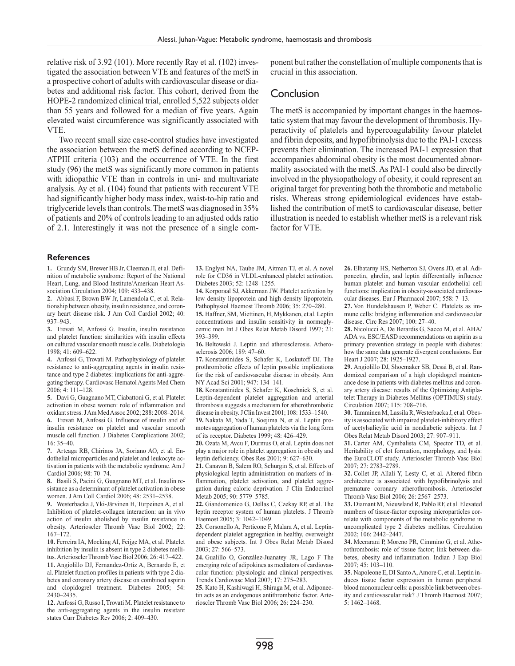relative risk of 3.92 (101). More recently Ray et al. (102) investigated the association between VTE and features of the metS in a prospective cohort of adults with cardiovascular disease or diabetes and additional risk factor. This cohort, derived from the HOPE-2 randomized clinical trial, enrolled 5,522 subjects older than 55 years and followed for a median of five years. Again elevated waist circumference was significantly associated with VTE.

Two recent small size case-control studies have investigated the association between the metS defined according to NCEP-ATPIII criteria (103) and the occurrence of VTE. In the first study (96) the metS was significantly more common in patients with idiopathic VTE than in controls in uni- and multivariate analysis. Ay et al. (104) found that patients with reccurent VTE had significantly higher body mass index, waist-to-hip ratio and triglyceride levels than controls. The metS was diagnosed in 35% of patients and 20% of controls leading to an adjusted odds ratio of 2.1. Interestingly it was not the presence of a single component but rather the constellation of multiple components that is crucial in this association.

### Conclusion

The metS is accompanied by important changes in the haemostatic system that may favour the development of thrombosis. Hyperactivity of platelets and hypercoagulability favour platelet and fibrin deposits, and hypofibrinolysis due to the PAI-1 excess prevents their elimination. The increased PAI-1 expression that accompanies abdominal obesity is the most documented abnormality associated with the metS. As PAI-1 could also be directly involved in the physiopathology of obesity, it could represent an original target for preventing both the thrombotic and metabolic risks. Whereas strong epidemiological evidences have established the contribution of metS to cardiovascular disease, better illustration is needed to establish whether metS is a relevant risk factor for VTE.

#### **References**

**1.** Grundy SM, Brewer HB Jr, Cleeman JI, et al. Definition of metabolic syndrome: Report of the National Heart, Lung, and Blood Institute/American Heart Association Circulation 2004; 109: 433–438.

**2.** Abbasi F, Brown BW Jr, Lamendola C, et al. Relationship between obesity, insulin resistance, and coronary heart disease risk. J Am Coll Cardiol 2002; 40: 937–943.

**3.** Trovati M, Anfossi G. Insulin, insulin resistance and platelet function: similarities with insulin effects on cultured vascular smooth muscle cells. Diabetologia 1998; 41: 609–622.

**4.** Anfossi G, Trovati M. Pathophysiology of platelet resistance to anti-aggregating agents in insulin resistance and type 2 diabetes: implications for anti-aggregating therapy. Cardiovasc Hematol Agents Med Chem 2006; 4: 111–128.

**5.** Davi G, Guagnano MT, Ciabattoni G, et al. Platelet activation in obese women: role of inflammation and oxidant stress. J Am Med Assoc 2002; 288: 2008–2014. **6.** Trovati M, Anfossi G. Influence of insulin and of insulin resistance on platelet and vascular smooth muscle cell function. J Diabetes Complications 2002; 16: 35–40.

**7.** Arteaga RB, Chirinos JA, Soriano AO, et al. Endothelial microparticles and platelet and leukocyte activation in patients with the metabolic syndrome. Am J Cardiol 2006; 98: 70–74.

**8.** Basili S, Pacini G, Guagnano MT, et al. Insulin resistance as a determinant of platelet activation in obese women. J Am Coll Cardiol 2006; 48: 2531–2538.

**9.** Westerbacka J, Yki-Järvinen H, Turpeinen A, et al. Inhibition of platelet-collagen interaction: an in vivo action of insulin abolished by insulin resistance in obesity. Arterioscler Thromb Vasc Biol 2002; 22: 167–172.

**10.** Ferreira IA, Mocking AI, Feijge MA, et al. Platelet inhibition by insulin is absent in type 2 diabetes mellitus. Arterioscler Thromb Vasc Biol 2006; 26: 417–422.

**11.** Angiolillo DJ, Fernandez-Ortiz A, Bernardo E, et al. Platelet function profiles in patients with type 2 diabetes and coronary artery disease on combined aspirin and clopidogrel treatment. Diabetes 2005; 54: 2430–2435.

**12.** Anfossi G, Russo I, Trovati M. Platelet resistance to the anti-aggregating agents in the insulin resistant states Curr Diabetes Rev 2006; 2: 409–430.

**13.** Englyst NA, Taube JM, Aitman TJ, et al. A novel role for CD36 in VLDL-enhanced platelet activation. Diabetes 2003; 52: 1248–1255.

**14.** Korporaal SJ, Akkerman JW. Platelet activation by low density lipoprotein and high density lipoprotein. Pathophysiol Haemost Thromb 2006; 35: 270–280.

**15.** Haffner, SM, Miettinen, H, Mykkanen, et al. Leptin concentrations and insulin sensitivity in normoglycemic men Int J Obes Relat Metab Disord 1997; 21: 393–399.

**16.** Beltowski J. Leptin and atherosclerosis. Atherosclerosis 2006; 189: 47–60.

**17.** Konstantinides S, Schafer K, Loskutoff DJ. The prothrombotic effects of leptin possible implications for the risk of cardiovascular disease in obesity. Ann NY Acad Sci 2001; 947: 134–141.

**18.** Konstantinides S, Schafer K, Koschnick S, et al. Leptin-dependent platelet aggregation and arterial thrombosis suggests a mechanism for atherothrombotic disease in obesity. J Clin Invest 2001; 108: 1533–1540.

**19.** Nakata M, Yada T, Soejima N, et al. Leptin promotes aggregation of human platelets via the long form of its receptor. Diabetes 1999; 48: 426–429.

**20.** Ozata M, Avcu F, Durmus O, et al. Leptin does not play a major role in platelet aggregation in obesity and leptin deficiency. Obes Res 2001; 9: 627–630.

**21.** Canavan B, Salem RO, Schurgin S, et al. Effects of physiological leptin administration on markers of inflammation, platelet activation, and platelet aggregation during caloric deprivation. J Clin Endocrinol Metab 2005; 90: 5779–5785.

**22.** Giandomenico G, Dellas C, Czekay RP, et al. The leptin receptor system of human platelets. J Thromb Haemost 2005; 3: 1042–1049.

**23.** Corsonello A, Perticone F, Malara A, et al. Leptindependent platelet aggregation in healthy, overweight and obese subjects. Int J Obes Relat Metab Disord 2003; 27: 566–573.

**24.** Gualillo O, González-Juanatey JR, Lago F The emerging role of adipokines as mediators of cardiovascular function: physiologic and clinical perspectives. Trends Cardiovasc Med 2007; 17: 275–283.

**25.** Kato H, Kashiwagi H, Shiraga M, et al. Adiponectin acts as an endogenous antithrombotic factor. Arterioscler Thromb Vasc Biol 2006; 26: 224–230.

**26.** Elbatarny HS, Netherton SJ, Ovens JD, et al. Adiponectin, ghrelin, and leptin differentially influence human platelet and human vascular endothelial cell functions: implication in obesity-associated cardiovascular diseases. Eur J Pharmacol 2007; 558: 7–13.

**27.** Von Hundelshausen P, Weber C. Platelets as immune cells: bridging inflammation and cardiovascular disease. Circ Res 2007; 100: 27–40.

**28.** Nicolucci A, De Berardis G, Sacco M, et al. AHA/ ADA vs. ESC/EASD recommendations on aspirin as a primary prevention strategy in people with diabetes: how the same data generate divergent conclusions. Eur Heart J 2007; 28: 1925–1927.

**29.** Angiolillo DJ, Shoemaker SB, Desai B, et al. Randomized comparison of a high clopidogrel maintenance dose in patients with diabetes mellitus and coronary artery disease: results of the Optimizing Antiplatelet Therapy in Diabetes Mellitus (OPTIMUS) study. Circulation 2007; 115: 708–716.

**30.** Tamminen M, Lassila R, Westerbacka J, et al. Obesity is associated with impaired platelet-inhibitory effect of acetylsalicylic acid in nondiabetic subjects. Int J Obes Relat Metab Disord 2003; 27: 907–911.

**31.** Carter AM, Cymbalista CM, Spector TD, et al. Heritability of clot formation, morphology, and lysis: the EuroCLOT study. Arterioscler Thromb Vasc Biol 2007; 27: 2783–2789.

**32.** Collet JP, Allali Y, Lesty C, et al. Altered fibrin architecture is associated with hypofibrinolysis and premature coronary atherothrombosis. Arterioscler Thromb Vasc Biol 2006; 26: 2567–2573.

**33.** Diamant M, Nieuwland R, Pablo RF, et al. Elevated numbers of tissue-factor exposing microparticles correlate with components of the metabolic syndrome in uncomplicated type 2 diabetes mellitus. Circulation 2002; 106: 2442–2447.

**34.** Meerarani P, Moreno PR, Cimmino G, et al. Atherothrombosis: role of tissue factor; link between diabetes, obesity and inflammation. Indian J Exp Biol 2007; 45: 103–110.

**35.** Napoleone E, DI Santo A, Amore C, et al. Leptin induces tissue factor expression in human peripheral blood mononuclear cells: a possible link between obesity and cardiovascular risk? J Thromb Haemost 2007; 5: 1462–1468.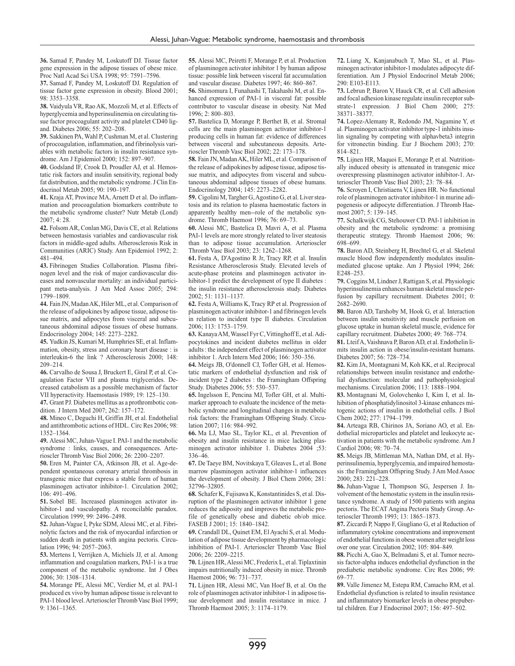**36.** Samad F, Pandey M, Loskutoff DJ. Tissue factor gene expression in the adipose tissues of obese mice. Proc Natl Acad Sci USA 1998; 95: 7591–7596.

**37.** Samad F, Pandey M, Loskutoff DJ. Regulation of tissue factor gene expression in obesity. Blood 2001; 98: 3353–3358.

**38.** Vaidyula VR, Rao AK, Mozzoli M, et al. Effects of hyperglycemia and hyperinsulinemia on circulating tissue factor procoagulant activity and platelet CD40 ligand. Diabetes 2006; 55: 202–208.

**39.** Sakkinen PA, Wahl P, Cushman M, et al. Clustering of procoagulation, inflammation, and fibrinolysis variables with metabolic factors in insulin resistance syndrome. Am J Epidemiol 2000; 152: 897–907.

**40.** Godsland IF, Crook D, Proudler AJ, et al. Hemostatic risk factors and insulin sensitivity, regional body fat distribution, and the metabolic syndrome. J Clin Endocrinol Metab 2005; 90: 190–197.

**41.** Kraja AT, Province MA, Arnett D et al. Do inflammation and procoagulation biomarkers contribute to the metabolic syndrome cluster? Nutr Metab (Lond) 2007; 4: 28.

**42.** Folsom AR, Conlan MG, Davis CE, et al. Relations between hemostasis variables and cardiovascular risk factors in middle-aged adults. Atherosclerosis Risk in Communities (ARIC) Study. Ann Epidemiol 1992; 2: 481–494.

**43.** Fibrinogen Studies Collaboration. Plasma fibrinogen level and the risk of major cardiovascular diseases and nonvascular mortality: an individual participant meta-analysis. J Am Med Assoc 2005; 294: 1799–1809.

**44.** Fain JN, Madan AK, Hiler ML, et al. Comparison of the release of adipokines by adipose tissue, adipose tissue matrix, and adipocytes from visceral and subcutaneous abdominal adipose tissues of obese humans. Endocrinology 2004; 145: 2273–2282.

**45.** Yudkin JS, Kumari M, Humphries SE, et al. Inflammation, obesity, stress and coronary heart disease : is interleukin-6 the link ? Atherosclerosis 2000; 148: 209–214.

**46.** Carvalho de Sousa J, Bruckert E, Giral P, et al. Coagulation Factor VII and plasma triglycerides. Decreased catabolism as a possible mechanism of factor VII hyperactivity. Haemostasis 1989; 19: 125–130.

**47.** Grant PJ. Diabetes mellitus as a prothrombotic condition. J Intern Med 2007; 262: 157–172.

**48.** Mineo C, Deguchi H, Griffin JH, et al. Endothelial and antithrombotic actions of HDL. Circ Res 2006; 98: 1352–1364.

**49.** Alessi MC, Juhan-Vague I. PAI-1 and the metabolic syndrome : links, causes, and consequences. Arterioscler Thromb Vasc Biol 2006; 26: 2200–2207.

**50.** Eren M, Painter CA, Atkinson JB, et al. Age-dependent spontaneous coronary arterial thrombosis in transgenic mice that express a stable form of human plasminogen activator inhibitor-1. Circulation 2002; 106: 491–496.

**51.** Sobel BE. Increased plasminogen activator inhibitor-1 and vasculopathy. A reconcilable paradox. Circulation 1999; 99: 2496–2498.

**52.** Juhan-Vague I, Pyke SDM, Alessi MC, et al. Fibrinolytic factors and the risk of myocardial infarction or sudden death in patients with angina pectoris. Circulation 1996; 94: 2057–2063.

**53.** Mertens I, Verrijken A, Michiels JJ, et al. Among inflammation and coagulation markers, PAI-1 is a true component of the metabolic syndrome. Int J Obes 2006; 30: 1308–1314.

**54.** Morange PE, Alessi MC, Verdier M, et al. PAI-1 produced ex vivo by human adipose tissue is relevant to PAI-1 blood level. Arterioscler Thromb Vasc Biol 1999; 9: 1361–1365.

**55.** Alessi MC, Peiretti F, Morange P, et al. Production of plasminogen activator inhibitor 1 by human adipose tissue: possible link between visceral fat accumulation and vascular disease. Diabetes 1997; 46: 860–867.

**56.** Shimomura I, Funahashi T, Takahashi M, et al. Enhanced expression of PAI-1 in visceral fat: possible contributor to vascular disease in obesity. Nat Med  $1996: 2: 800 - 803$ 

**57.** Bastelica D, Morange P, Berthet B, et al. Stromal cells are the main plasminogen activator inhibitor-1 producing cells in human fat: evidence of differences between visceral and subcutaneous deposits. Arterioscler Thromb Vasc Biol 2002; 22: 173–178.

**58.** Fain JN, Madan AK, Hiler ML, et al. Comparison of the release of adipokines by adipose tissue, adipose tissue matrix, and adipocytes from visceral and subcutaneous abdominal adipose tissues of obese humans. Endocrinology 2004; 145: 2273–2282.

**59.** Cigolini M, Targher G, Agostino G, et al. Liver steatosis and its relation to plasma haemostatic factors in apparently healthy men--role of the metabolic syndrome. Thromb Haemost 1996; 76: 69–73.

**60.** Alessi MC, Bastelica D, Mavri A, et al. Plasma PAI-1 levels are more strongly related to liver steatosis than to adipose tissue accumulation. Arterioscler Thromb Vasc Biol 2003; 23: 1262–1268.

**61.** Festa A, D'Agostino R Jr, Tracy RP, et al. Insulin Resistance Atherosclerosis Study. Elevated levels of acute-phase proteins and plasminogen activator inhibitor-1 predict the development of type II diabetes : the insulin resistance atherosclerosis study. Diabetes 2002; 51: 1131–1137.

**62.** Festa A, Williams K, Tracy RP et al. Progression of plasminogen activator inhibitor-1 and fibrinogen levels in relation to incident type II diabetes. Circulation 2006; 113: 1753–1759.

**63.** Kanaya AM, Wassel Fyr C, Vittinghoff E, et al. Adipocytokines and incident diabetes mellitus in older adults : the independent effect of plasminogen activator inhibitor 1. Arch Intern Med 2006; 166: 350–356.

**64.** Meigs JB, O'donnell CJ, Tofler GH, et al. Hemostatic markers of endothelial dysfunction and risk of incident type 2 diabetes : the Framingham Offspring Study. Diabetes 2006; 55: 530–537.

**65.** Ingelsson E, Pencina MJ, Tofler GH, et al. Multimarker approach to evaluate the incidence of the metabolic syndrome and longitudinal changes in metabolic risk factors: the Framingham Offspring Study. Circulation 2007; 116: 984–992.

**66.** Ma LJ, Mao SL, Taylor KL, et al. Prevention of obesity and insulin resistance in mice lacking plasminogen activator inhibitor 1. Diabetes 2004 ;53: 336–46.

**67.** De Taeye BM, Novitskaya T, Gleaves L, et al. Bone marrow plasminogen activator inhibitor-1 influences the development of obesity. J Biol Chem 2006; 281: 32796–32805.

**68.** Schafer K, Fujisawa K, Konstantinides S, et al. Disruption of the plasminogen activator inhibitor 1 gene reduces the adiposity and improves the metabolic profile of genetically obese and diabetic ob/ob mice. FASEB J 2001; 15: 1840–1842.

**69.** Crandall DL, Quinet EM, El Ayachi S, et al. Modulation of adipose tissue development by pharmacologic inhibition of PAI-1. Arterioscler Thromb Vasc Biol 2006; 26: 2209–2215.

**70.** Lijnen HR, Alessi MC, Frederix L, et al. Tiplaxtinin impairs nutritionally induced obesity in mice. Thromb Haemost 2006; 96: 731–737.

**71.** Lijnen HR, Alessi MC, Van Hoef B, et al. On the role of plasminogen activator inhibitor-1 in adipose tissue development and insulin resistance in mice. J Thromb Haemost 2005; 3: 1174–1179.

**72.** Liang X, Kanjanabuch T, Mao SL, et al. Plasminogen activator inhibitor-1 modulates adipocyte differentiation. Am J Physiol Endocrinol Metab 2006; 290: E103-E113.

**73.** Lebrun P, Baron V, Hauck CR, et al. Cell adhesion and focal adhesion kinase regulate insulin receptor substrate-1 expression. J Biol Chem 2000; 275: 38371–38377.

**74.** Lopez-Alemany R, Redondo JM, Nagamine Y, et al. Plasminogen activator inhibitor type-1 inhibits insulin signaling by competing with alphavbeta3 integrin for vitronectin binding. Eur J Biochem 2003; 270: 814–821.

**75.** Lijnen HR, Maquoi E, Morange P, et al. Nutritionally induced obesity is attenuated in transgenic mice overexpressing plasminogen activator inhibitor-1. Arterioscler Thromb Vasc Biol 2003; 23: 78–84.

**76.** Scroyen I, Christiaens V, Lijnen HR. No functional role of plasminogen activator inhibitor-1 in murine adipogenesis or adipocyte differentiation. J Thromb Haemost 2007; 5: 139–145.

**77.** Schalkwijk CG, Stehouwer CD. PAI-1 inhibition in obesity and the metabolic syndrome: a promising therapeutic strategy. Thromb Haemost 2006; 96: 698–699.

**78.** Baron AD, Steinberg H, Brechtel G, et al. Skeletal muscle blood flow independently modulates insulinmediated glucose uptake. Am J Physiol 1994; 266: E248–253.

**79.** Coggins M, Lindner J, Rattigan S, et al. Physiologic hyperinsulinemia enhances human skeletal muscle perfusion by capillary recruitment. Diabetes 2001; 0: 2682–2690.

**80.** Baron AD, Tarshoby M, Hook G, et al. Interaction between insulin sensitivity and muscle perfusion on glucose uptake in human skeletal muscle, evidence for capillary recruitment. Diabetes 2000; 49: 768–774.

**81.** Lteif A, Vaishnava P, Baron AD, et al. Endothelin limits insulin action in obese/insulin-resistant humans. Diabetes 2007; 56: 728–734.

**82.** Kim JA, Montagnani M, Koh KK, et al. Reciprocal relationships between insulin resistance and endothelial dysfunction: molecular and pathophysiological mechanisms. Circulation 2006; 113: 1888–1904.

**83.** Montagnani M, Golovchenko I, Kim I, et al. Inhibition of phosphatidylinositol 3-kinase enhances mitogenic actions of insulin in endothelial cells. J Biol Chem 2002; 277: 1794–1799.

**84.** Arteaga RB, Chirinos JA, Soriano AO, et al. Endothelial microparticles and platelet and leukocyte activation in patients with the metabolic syndrome. Am J Cardiol 2006; 98: 70–74.

**85.** Meigs JB, Mittleman MA, Nathan DM, et al. Hyperinsulinemia, hyperglycemia, and impaired hemostasis :the Framingham Offspring Study. J Am Med Assoc 2000; 283: 221–228.

**86.** Juhan-Vague I, Thompson SG, Jespersen J. Involvement of the hemostatic system in the insulin resistance syndrome. A study of 1500 patients with angina pectoris. The ECAT Angina Pectoris Study Group. Arterioscler Thromb 1993; 13: 1865–1873.

**87.** Ziccardi P, Nappo F, Giugliano G, et al Reduction of inflammatory cytokine concentrations and improvement of endothelial functions in obese women after weight loss over one year. Circulation 2002; 105: 804–849.

**88.** Picchi A, Gao X, Belmadani S, et al. Tumor necrosis factor-alpha induces endothelial dysfunction in the prediabetic metabolic syndrome. Circ Res 2006; 99: 69–77.

**89.** Valle Jimenez M, Estepa RM, Camacho RM, et al. Endothelial dysfunction is related to insulin resistance and inflammatory biomarker levels in obese prepubertal children. Eur J Endocrinol 2007; 156: 497–502.